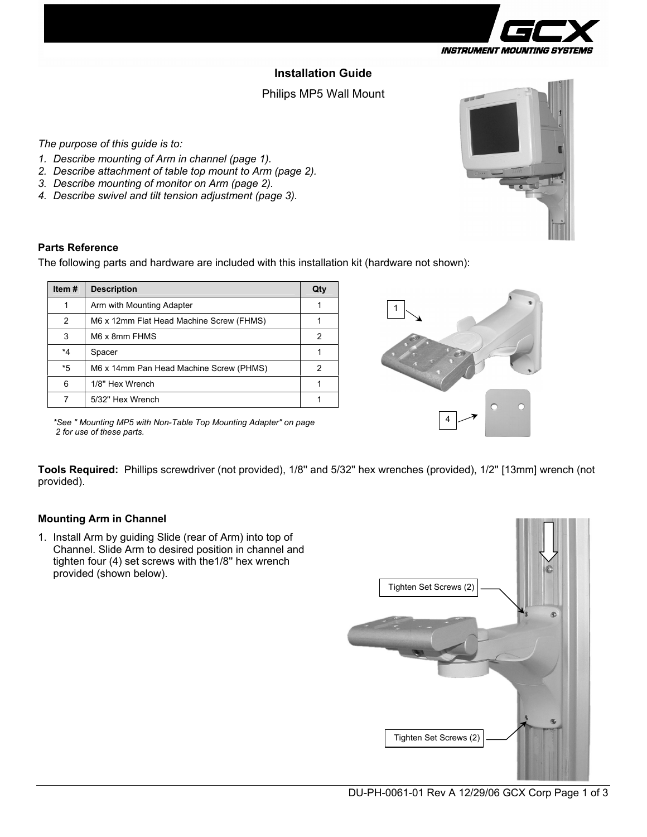

# **Installation Guide**

## Philips MP5 Wall Mount

*The purpose of this guide is to:* 

- *1. Describe mounting of Arm in channel (page 1).*
- *2. Describe attachment of table top mount to Arm (page 2).*
- *3. Describe mounting of monitor on Arm (page 2).*
- *4. Describe swivel and tilt tension adjustment (page 3).*

#### **Parts Reference**

The following parts and hardware are included with this installation kit (hardware not shown):

| Item $#$ | <b>Description</b>                       | Qty |
|----------|------------------------------------------|-----|
|          | Arm with Mounting Adapter                |     |
| 2        | M6 x 12mm Flat Head Machine Screw (FHMS) |     |
| 3        | M6 x 8mm FHMS                            | 2   |
| *4       | Spacer                                   |     |
| *5       | M6 x 14mm Pan Head Machine Screw (PHMS)  |     |
| 6        | 1/8" Hex Wrench                          |     |
|          | 5/32" Hex Wrench                         |     |



*\*See " Mounting MP5 with Non-Table Top Mounting Adapter" on page 2 for use of these parts.* 

**Tools Required:** Phillips screwdriver (not provided), 1/8'' and 5/32'' hex wrenches (provided), 1/2'' [13mm] wrench (not provided).

#### **Mounting Arm in Channel**

1. Install Arm by guiding Slide (rear of Arm) into top of Channel. Slide Arm to desired position in channel and tighten four (4) set screws with the1/8'' hex wrench provided (shown below).



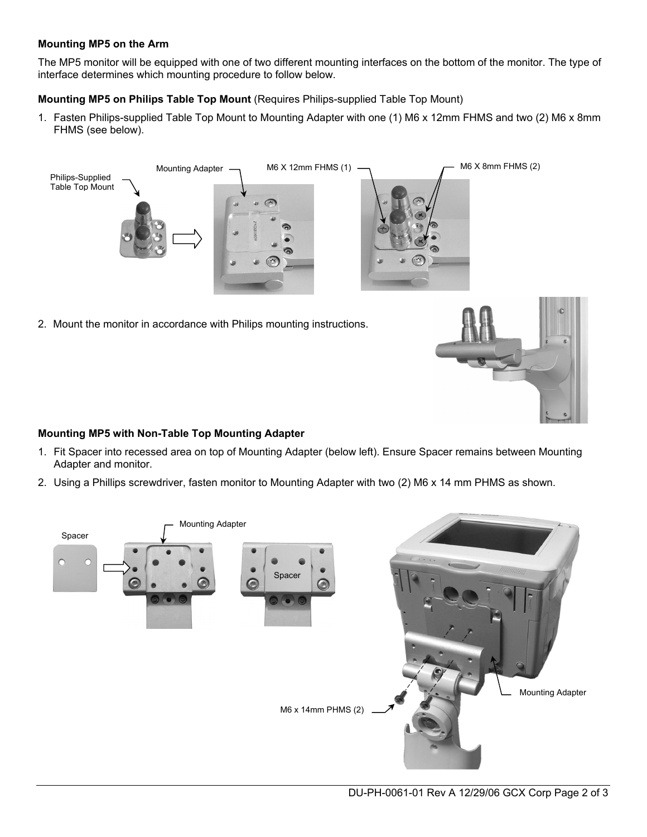### **Mounting MP5 on the Arm**

The MP5 monitor will be equipped with one of two different mounting interfaces on the bottom of the monitor. The type of interface determines which mounting procedure to follow below.

**Mounting MP5 on Philips Table Top Mount** (Requires Philips-supplied Table Top Mount)

1. Fasten Philips-supplied Table Top Mount to Mounting Adapter with one (1) M6 x 12mm FHMS and two (2) M6 x 8mm FHMS (see below).



#### **Mounting MP5 with Non-Table Top Mounting Adapter**

- 1. Fit Spacer into recessed area on top of Mounting Adapter (below left). Ensure Spacer remains between Mounting Adapter and monitor.
- 2. Using a Phillips screwdriver, fasten monitor to Mounting Adapter with two (2) M6 x 14 mm PHMS as shown.